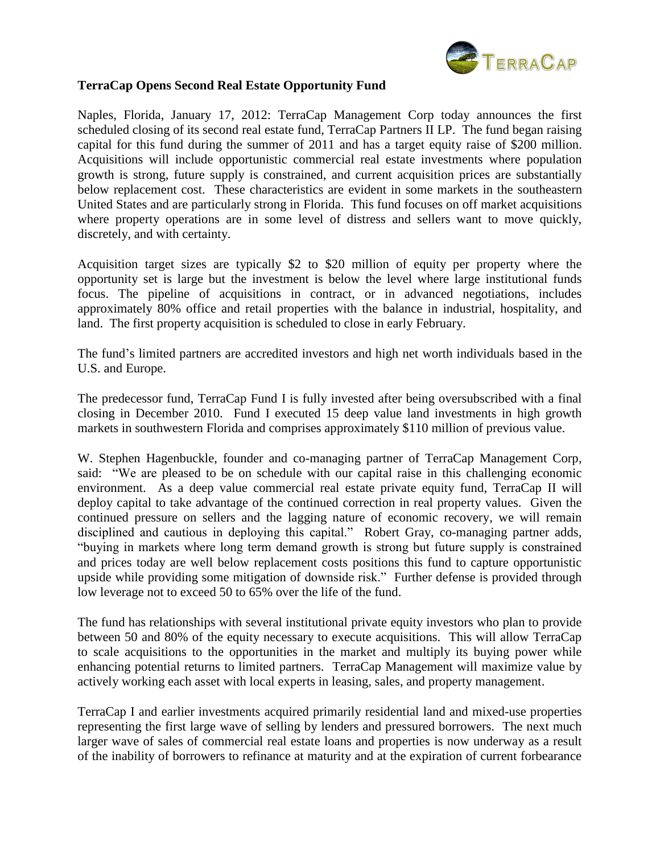

## **TerraCap Opens Second Real Estate Opportunity Fund**

Naples, Florida, January 17, 2012: TerraCap Management Corp today announces the first scheduled closing of its second real estate fund, TerraCap Partners II LP. The fund began raising capital for this fund during the summer of 2011 and has a target equity raise of \$200 million. Acquisitions will include opportunistic commercial real estate investments where population growth is strong, future supply is constrained, and current acquisition prices are substantially below replacement cost. These characteristics are evident in some markets in the southeastern United States and are particularly strong in Florida. This fund focuses on off market acquisitions where property operations are in some level of distress and sellers want to move quickly, discretely, and with certainty.

Acquisition target sizes are typically \$2 to \$20 million of equity per property where the opportunity set is large but the investment is below the level where large institutional funds focus. The pipeline of acquisitions in contract, or in advanced negotiations, includes approximately 80% office and retail properties with the balance in industrial, hospitality, and land. The first property acquisition is scheduled to close in early February.

The fund's limited partners are accredited investors and high net worth individuals based in the U.S. and Europe.

The predecessor fund, TerraCap Fund I is fully invested after being oversubscribed with a final closing in December 2010. Fund I executed 15 deep value land investments in high growth markets in southwestern Florida and comprises approximately \$110 million of previous value.

W. Stephen Hagenbuckle, founder and co-managing partner of TerraCap Management Corp, said: "We are pleased to be on schedule with our capital raise in this challenging economic environment. As a deep value commercial real estate private equity fund, TerraCap II will deploy capital to take advantage of the continued correction in real property values. Given the continued pressure on sellers and the lagging nature of economic recovery, we will remain disciplined and cautious in deploying this capital." Robert Gray, co-managing partner adds, "buying in markets where long term demand growth is strong but future supply is constrained and prices today are well below replacement costs positions this fund to capture opportunistic upside while providing some mitigation of downside risk." Further defense is provided through low leverage not to exceed 50 to 65% over the life of the fund.

The fund has relationships with several institutional private equity investors who plan to provide between 50 and 80% of the equity necessary to execute acquisitions. This will allow TerraCap to scale acquisitions to the opportunities in the market and multiply its buying power while enhancing potential returns to limited partners. TerraCap Management will maximize value by actively working each asset with local experts in leasing, sales, and property management.

TerraCap I and earlier investments acquired primarily residential land and mixed-use properties representing the first large wave of selling by lenders and pressured borrowers. The next much larger wave of sales of commercial real estate loans and properties is now underway as a result of the inability of borrowers to refinance at maturity and at the expiration of current forbearance